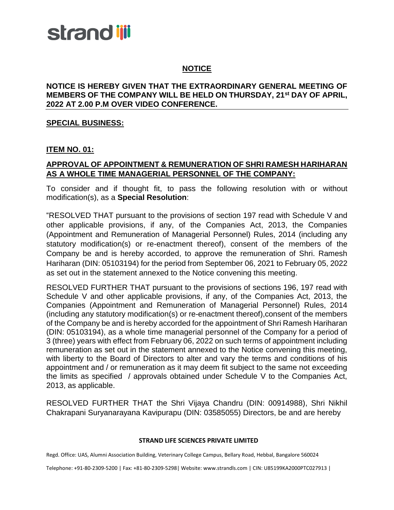## **NOTICE**

### **NOTICE IS HEREBY GIVEN THAT THE EXTRAORDINARY GENERAL MEETING OF MEMBERS OF THE COMPANY WILL BE HELD ON THURSDAY, 21st DAY OF APRIL, 2022 AT 2.00 P.M OVER VIDEO CONFERENCE.**

### **SPECIAL BUSINESS:**

### **ITEM NO. 01:**

## **APPROVAL OF APPOINTMENT & REMUNERATION OF SHRI RAMESH HARIHARAN AS A WHOLE TIME MANAGERIAL PERSONNEL OF THE COMPANY:**

To consider and if thought fit, to pass the following resolution with or without modification(s), as a **Special Resolution**:

"RESOLVED THAT pursuant to the provisions of section 197 read with Schedule V and other applicable provisions, if any, of the Companies Act, 2013, the Companies (Appointment and Remuneration of Managerial Personnel) Rules, 2014 (including any statutory modification(s) or re-enactment thereof), consent of the members of the Company be and is hereby accorded, to approve the remuneration of Shri. Ramesh Hariharan (DIN: 05103194) for the period from September 06, 2021 to February 05, 2022 as set out in the statement annexed to the Notice convening this meeting.

RESOLVED FURTHER THAT pursuant to the provisions of sections 196, 197 read with Schedule V and other applicable provisions, if any, of the Companies Act, 2013, the Companies (Appointment and Remuneration of Managerial Personnel) Rules, 2014 (including any statutory modification(s) or re-enactment thereof),consent of the members of the Company be and is hereby accorded for the appointment of Shri Ramesh Hariharan (DIN: 05103194), as a whole time managerial personnel of the Company for a period of 3 (three) years with effect from February 06, 2022 on such terms of appointment including remuneration as set out in the statement annexed to the Notice convening this meeting, with liberty to the Board of Directors to alter and vary the terms and conditions of his appointment and / or remuneration as it may deem fit subject to the same not exceeding the limits as specified / approvals obtained under Schedule V to the Companies Act, 2013, as applicable.

RESOLVED FURTHER THAT the Shri Vijaya Chandru (DIN: 00914988), Shri Nikhil Chakrapani Suryanarayana Kavipurapu (DIN: 03585055) Directors, be and are hereby

### **STRAND LIFE SCIENCES PRIVATE LIMITED**

Regd. Office: UAS, Alumni Association Building, Veterinary College Campus, Bellary Road, Hebbal, Bangalore 560024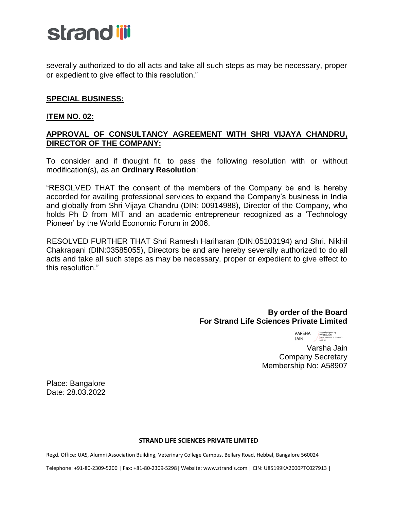severally authorized to do all acts and take all such steps as may be necessary, proper or expedient to give effect to this resolution."

## **SPECIAL BUSINESS:**

## I**TEM NO. 02:**

## **APPROVAL OF CONSULTANCY AGREEMENT WITH SHRI VIJAYA CHANDRU, DIRECTOR OF THE COMPANY:**

To consider and if thought fit, to pass the following resolution with or without modification(s), as an **Ordinary Resolution**:

"RESOLVED THAT the consent of the members of the Company be and is hereby accorded for availing professional services to expand the Company's business in India and globally from Shri Vijaya Chandru (DIN: 00914988), Director of the Company, who holds Ph D from MIT and an academic entrepreneur recognized as a 'Technology Pioneer' by the World Economic Forum in 2006.

RESOLVED FURTHER THAT Shri Ramesh Hariharan (DIN:05103194) and Shri. Nikhil Chakrapani (DIN:03585055), Directors be and are hereby severally authorized to do all acts and take all such steps as may be necessary, proper or expedient to give effect to this resolution."

## **By order of the Board For Strand Life Sciences Private Limited**

VARSHA JAIN Digitally signed by VARSHA JAIN Date: 2022.03.28 20:03:07 +05'30'

 Varsha Jain Company Secretary Membership No: A58907

Place: Bangalore Date: 28.03.2022

### **STRAND LIFE SCIENCES PRIVATE LIMITED**

Regd. Office: UAS, Alumni Association Building, Veterinary College Campus, Bellary Road, Hebbal, Bangalore 560024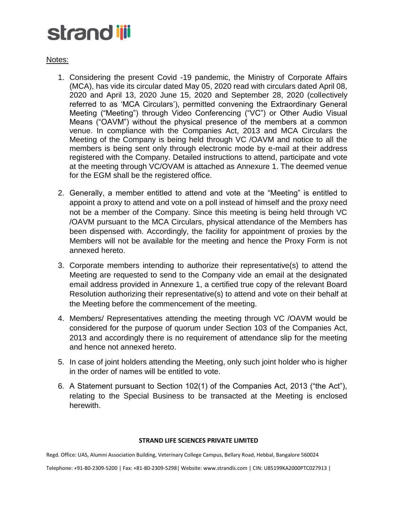Notes:

- 1. Considering the present Covid -19 pandemic, the Ministry of Corporate Affairs (MCA), has vide its circular dated May 05, 2020 read with circulars dated April 08, 2020 and April 13, 2020 June 15, 2020 and September 28, 2020 (collectively referred to as 'MCA Circulars'), permitted convening the Extraordinary General Meeting ("Meeting") through Video Conferencing ("VC") or Other Audio Visual Means ("OAVM") without the physical presence of the members at a common venue. In compliance with the Companies Act, 2013 and MCA Circulars the Meeting of the Company is being held through VC /OAVM and notice to all the members is being sent only through electronic mode by e-mail at their address registered with the Company. Detailed instructions to attend, participate and vote at the meeting through VC/OVAM is attached as Annexure 1. The deemed venue for the EGM shall be the registered office.
- 2. Generally, a member entitled to attend and vote at the "Meeting" is entitled to appoint a proxy to attend and vote on a poll instead of himself and the proxy need not be a member of the Company. Since this meeting is being held through VC /OAVM pursuant to the MCA Circulars, physical attendance of the Members has been dispensed with. Accordingly, the facility for appointment of proxies by the Members will not be available for the meeting and hence the Proxy Form is not annexed hereto.
- 3. Corporate members intending to authorize their representative(s) to attend the Meeting are requested to send to the Company vide an email at the designated email address provided in Annexure 1, a certified true copy of the relevant Board Resolution authorizing their representative(s) to attend and vote on their behalf at the Meeting before the commencement of the meeting.
- 4. Members/ Representatives attending the meeting through VC /OAVM would be considered for the purpose of quorum under Section 103 of the Companies Act, 2013 and accordingly there is no requirement of attendance slip for the meeting and hence not annexed hereto.
- 5. In case of joint holders attending the Meeting, only such joint holder who is higher in the order of names will be entitled to vote.
- 6. A Statement pursuant to Section 102(1) of the Companies Act, 2013 ("the Act"), relating to the Special Business to be transacted at the Meeting is enclosed herewith.

### **STRAND LIFE SCIENCES PRIVATE LIMITED**

Regd. Office: UAS, Alumni Association Building, Veterinary College Campus, Bellary Road, Hebbal, Bangalore 560024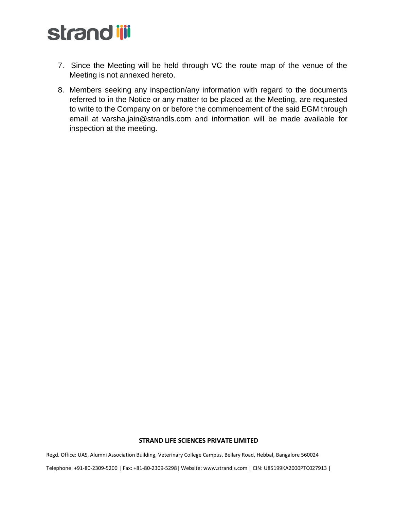- 7. Since the Meeting will be held through VC the route map of the venue of the Meeting is not annexed hereto.
- 8. Members seeking any inspection/any information with regard to the documents referred to in the Notice or any matter to be placed at the Meeting, are requested to write to the Company on or before the commencement of the said EGM through email at varsha.jain@strandls.com and information will be made available for inspection at the meeting.

#### **STRAND LIFE SCIENCES PRIVATE LIMITED**

Regd. Office: UAS, Alumni Association Building, Veterinary College Campus, Bellary Road, Hebbal, Bangalore 560024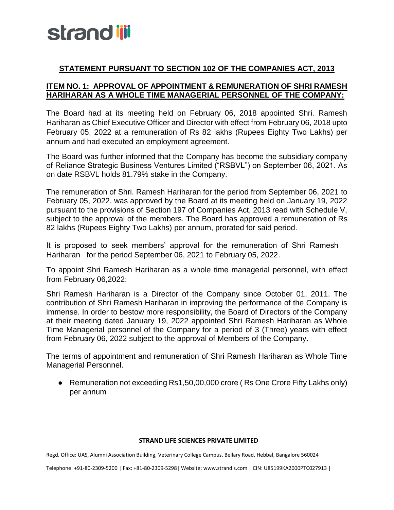## **STATEMENT PURSUANT TO SECTION 102 OF THE COMPANIES ACT, 2013**

## **ITEM NO. 1: APPROVAL OF APPOINTMENT & REMUNERATION OF SHRI RAMESH HARIHARAN AS A WHOLE TIME MANAGERIAL PERSONNEL OF THE COMPANY:**

The Board had at its meeting held on February 06, 2018 appointed Shri. Ramesh Hariharan as Chief Executive Officer and Director with effect from February 06, 2018 upto February 05, 2022 at a remuneration of Rs 82 lakhs (Rupees Eighty Two Lakhs) per annum and had executed an employment agreement.

The Board was further informed that the Company has become the subsidiary company of Reliance Strategic Business Ventures Limited ("RSBVL") on September 06, 2021. As on date RSBVL holds 81.79% stake in the Company.

The remuneration of Shri. Ramesh Hariharan for the period from September 06, 2021 to February 05, 2022, was approved by the Board at its meeting held on January 19, 2022 pursuant to the provisions of Section 197 of Companies Act, 2013 read with Schedule V, subject to the approval of the members. The Board has approved a remuneration of Rs 82 lakhs (Rupees Eighty Two Lakhs) per annum, prorated for said period.

It is proposed to seek members' approval for the remuneration of Shri Ramesh Hariharan for the period September 06, 2021 to February 05, 2022.

To appoint Shri Ramesh Hariharan as a whole time managerial personnel, with effect from February 06,2022:

Shri Ramesh Hariharan is a Director of the Company since October 01, 2011. The contribution of Shri Ramesh Hariharan in improving the performance of the Company is immense. In order to bestow more responsibility, the Board of Directors of the Company at their meeting dated January 19, 2022 appointed Shri Ramesh Hariharan as Whole Time Managerial personnel of the Company for a period of 3 (Three) years with effect from February 06, 2022 subject to the approval of Members of the Company.

The terms of appointment and remuneration of Shri Ramesh Hariharan as Whole Time Managerial Personnel.

● Remuneration not exceeding Rs1,50,00,000 crore (Rs One Crore Fifty Lakhs only) per annum

### **STRAND LIFE SCIENCES PRIVATE LIMITED**

Regd. Office: UAS, Alumni Association Building, Veterinary College Campus, Bellary Road, Hebbal, Bangalore 560024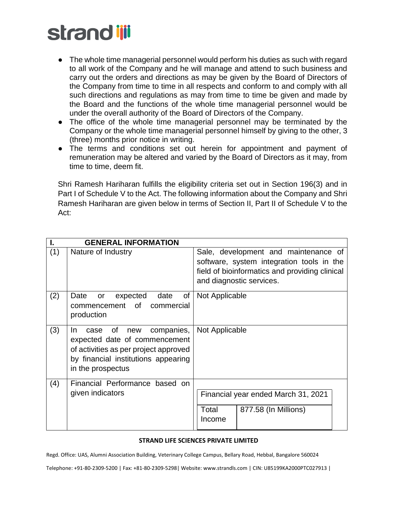- The whole time managerial personnel would perform his duties as such with regard to all work of the Company and he will manage and attend to such business and carry out the orders and directions as may be given by the Board of Directors of the Company from time to time in all respects and conform to and comply with all such directions and regulations as may from time to time be given and made by the Board and the functions of the whole time managerial personnel would be under the overall authority of the Board of Directors of the Company.
- The office of the whole time managerial personnel may be terminated by the Company or the whole time managerial personnel himself by giving to the other, 3 (three) months prior notice in writing.
- The terms and conditions set out herein for appointment and payment of remuneration may be altered and varied by the Board of Directors as it may, from time to time, deem fit.

Shri Ramesh Hariharan fulfills the eligibility criteria set out in Section 196(3) and in Part I of Schedule V to the Act. The following information about the Company and Shri Ramesh Hariharan are given below in terms of Section II, Part II of Schedule V to the Act:

|     | <b>GENERAL INFORMATION</b>                                                                                                                                                   |                                                                                                                                                                 |
|-----|------------------------------------------------------------------------------------------------------------------------------------------------------------------------------|-----------------------------------------------------------------------------------------------------------------------------------------------------------------|
| (1) | Nature of Industry                                                                                                                                                           | Sale, development and maintenance of<br>software, system integration tools in the<br>field of bioinformatics and providing clinical<br>and diagnostic services. |
| (2) | Date<br>of<br>expected<br>date<br>or<br>commencement of<br>commercial<br>production                                                                                          | Not Applicable                                                                                                                                                  |
| (3) | companies,<br>0f<br>new<br>case<br>In.<br>expected date of commencement<br>of activities as per project approved<br>by financial institutions appearing<br>in the prospectus | Not Applicable                                                                                                                                                  |
| (4) | Financial Performance based on<br>given indicators                                                                                                                           | Financial year ended March 31, 2021<br>877.58 (In Millions)<br>Total<br>Income                                                                                  |

### **STRAND LIFE SCIENCES PRIVATE LIMITED**

Regd. Office: UAS, Alumni Association Building, Veterinary College Campus, Bellary Road, Hebbal, Bangalore 560024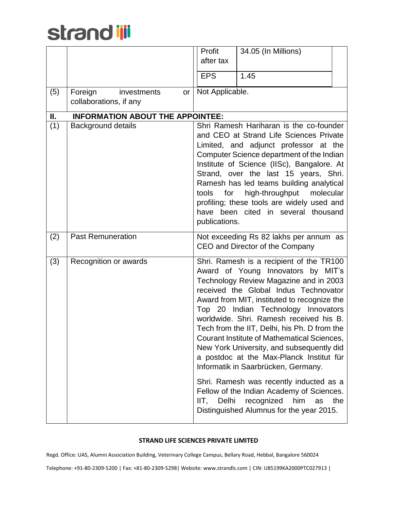|     |                                                        | Profit<br>after tax           | 34.05 (In Millions)                                                                                                                                                                                                                                                                                                                                                                                                                                                                                                                                                                                                                                                                              |     |
|-----|--------------------------------------------------------|-------------------------------|--------------------------------------------------------------------------------------------------------------------------------------------------------------------------------------------------------------------------------------------------------------------------------------------------------------------------------------------------------------------------------------------------------------------------------------------------------------------------------------------------------------------------------------------------------------------------------------------------------------------------------------------------------------------------------------------------|-----|
|     |                                                        | <b>EPS</b>                    | 1.45                                                                                                                                                                                                                                                                                                                                                                                                                                                                                                                                                                                                                                                                                             |     |
| (5) | Foreign<br>investments<br>or<br>collaborations, if any | Not Applicable.               |                                                                                                                                                                                                                                                                                                                                                                                                                                                                                                                                                                                                                                                                                                  |     |
| П.  | <b>INFORMATION ABOUT THE APPOINTEE:</b>                |                               |                                                                                                                                                                                                                                                                                                                                                                                                                                                                                                                                                                                                                                                                                                  |     |
| (1) | <b>Background details</b>                              | tools<br>for<br>publications. | Shri Ramesh Hariharan is the co-founder<br>and CEO at Strand Life Sciences Private<br>Limited, and adjunct professor at the<br>Computer Science department of the Indian<br>Institute of Science (IISc), Bangalore. At<br>Strand, over the last 15 years, Shri.<br>Ramesh has led teams building analytical<br>high-throughput<br>molecular<br>profiling; these tools are widely used and<br>have been cited in several thousand                                                                                                                                                                                                                                                                 |     |
| (2) | <b>Past Remuneration</b>                               |                               | Not exceeding Rs 82 lakhs per annum as<br>CEO and Director of the Company                                                                                                                                                                                                                                                                                                                                                                                                                                                                                                                                                                                                                        |     |
| (3) | Recognition or awards                                  | IIT,<br>Delhi                 | Shri. Ramesh is a recipient of the TR100<br>Award of Young Innovators by MIT's<br>Technology Review Magazine and in 2003<br>received the Global Indus Technovator<br>Award from MIT, instituted to recognize the<br>Top 20 Indian Technology Innovators<br>worldwide. Shri. Ramesh received his B.<br>Tech from the IIT, Delhi, his Ph. D from the<br>Courant Institute of Mathematical Sciences,<br>New York University, and subsequently did<br>a postdoc at the Max-Planck Institut für<br>Informatik in Saarbrücken, Germany.<br>Shri. Ramesh was recently inducted as a<br>Fellow of the Indian Academy of Sciences.<br>recognized<br>him<br>as<br>Distinguished Alumnus for the year 2015. | the |

### **STRAND LIFE SCIENCES PRIVATE LIMITED**

Regd. Office: UAS, Alumni Association Building, Veterinary College Campus, Bellary Road, Hebbal, Bangalore 560024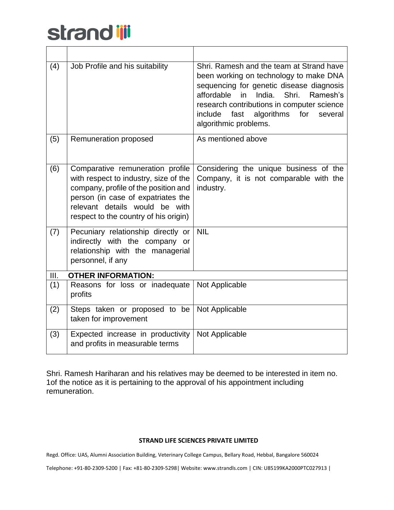| (4)  | Job Profile and his suitability                                                                                                                                                                                                    | Shri. Ramesh and the team at Strand have<br>been working on technology to make DNA<br>sequencing for genetic disease diagnosis<br>affordable<br>India.<br>Shri.<br>Ramesh's<br>in<br>research contributions in computer science<br>algorithms<br>for<br>include<br>fast<br>several<br>algorithmic problems. |
|------|------------------------------------------------------------------------------------------------------------------------------------------------------------------------------------------------------------------------------------|-------------------------------------------------------------------------------------------------------------------------------------------------------------------------------------------------------------------------------------------------------------------------------------------------------------|
| (5)  | Remuneration proposed                                                                                                                                                                                                              | As mentioned above                                                                                                                                                                                                                                                                                          |
| (6)  | Comparative remuneration profile<br>with respect to industry, size of the<br>company, profile of the position and<br>person (in case of expatriates the<br>relevant details would be with<br>respect to the country of his origin) | Considering the unique business of the<br>Company, it is not comparable with the<br>industry.                                                                                                                                                                                                               |
| (7)  | Pecuniary relationship directly or<br>indirectly with the company or<br>relationship with the managerial<br>personnel, if any                                                                                                      | <b>NIL</b>                                                                                                                                                                                                                                                                                                  |
| III. | <b>OTHER INFORMATION:</b>                                                                                                                                                                                                          |                                                                                                                                                                                                                                                                                                             |
| (1)  | Reasons for loss or inadequate<br>profits                                                                                                                                                                                          | Not Applicable                                                                                                                                                                                                                                                                                              |
| (2)  | Steps taken or proposed to be<br>taken for improvement                                                                                                                                                                             | Not Applicable                                                                                                                                                                                                                                                                                              |
| (3)  | Expected increase in productivity<br>and profits in measurable terms                                                                                                                                                               | Not Applicable                                                                                                                                                                                                                                                                                              |

Shri. Ramesh Hariharan and his relatives may be deemed to be interested in item no. 1of the notice as it is pertaining to the approval of his appointment including remuneration.

### **STRAND LIFE SCIENCES PRIVATE LIMITED**

Regd. Office: UAS, Alumni Association Building, Veterinary College Campus, Bellary Road, Hebbal, Bangalore 560024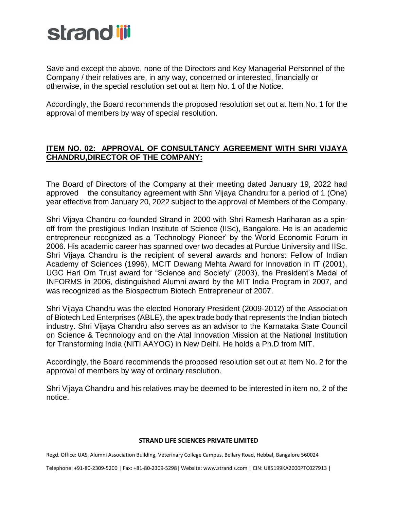

Save and except the above, none of the Directors and Key Managerial Personnel of the Company / their relatives are, in any way, concerned or interested, financially or otherwise, in the special resolution set out at Item No. 1 of the Notice.

Accordingly, the Board recommends the proposed resolution set out at Item No. 1 for the approval of members by way of special resolution.

## **ITEM NO. 02: APPROVAL OF CONSULTANCY AGREEMENT WITH SHRI VIJAYA CHANDRU,DIRECTOR OF THE COMPANY:**

The Board of Directors of the Company at their meeting dated January 19, 2022 had approved the consultancy agreement with Shri Vijaya Chandru for a period of 1 (One) year effective from January 20, 2022 subject to the approval of Members of the Company.

Shri Vijaya Chandru co-founded Strand in 2000 with Shri Ramesh Hariharan as a spinoff from the prestigious Indian Institute of Science (IISc), Bangalore. He is an academic entrepreneur recognized as a 'Technology Pioneer' by the World Economic Forum in 2006. His academic career has spanned over two decades at Purdue University and IISc. Shri Vijaya Chandru is the recipient of several awards and honors: Fellow of Indian Academy of Sciences (1996), MCIT Dewang Mehta Award for Innovation in IT (2001), UGC Hari Om Trust award for "Science and Society" (2003), the President's Medal of INFORMS in 2006, distinguished Alumni award by the MIT India Program in 2007, and was recognized as the Biospectrum Biotech Entrepreneur of 2007.

Shri Vijaya Chandru was the elected Honorary President (2009-2012) of the Association of Biotech Led Enterprises (ABLE), the apex trade body that represents the Indian biotech industry. Shri Vijaya Chandru also serves as an advisor to the Karnataka State Council on Science & Technology and on the Atal Innovation Mission at the National Institution for Transforming India (NITI AAYOG) in New Delhi. He holds a Ph.D from MIT.

Accordingly, the Board recommends the proposed resolution set out at Item No. 2 for the approval of members by way of ordinary resolution.

Shri Vijaya Chandru and his relatives may be deemed to be interested in item no. 2 of the notice.

#### **STRAND LIFE SCIENCES PRIVATE LIMITED**

Regd. Office: UAS, Alumni Association Building, Veterinary College Campus, Bellary Road, Hebbal, Bangalore 560024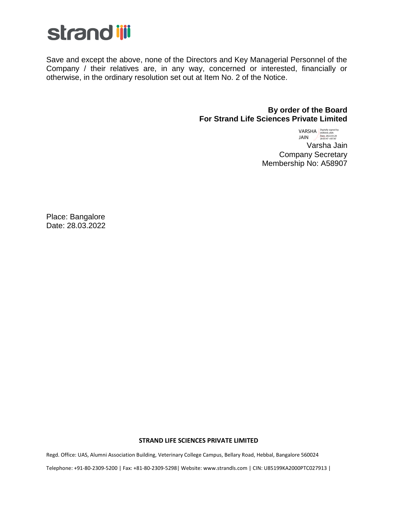

Save and except the above, none of the Directors and Key Managerial Personnel of the Company / their relatives are, in any way, concerned or interested, financially or otherwise, in the ordinary resolution set out at Item No. 2 of the Notice.

### **By order of the Board For Strand Life Sciences Private Limited**

 VARSHA Varsha Jain Company Secretary Membership No: A58907 JAIN Digitally signed by VARSHA JAIN Date: 2022.03.28 20:03:47 +05'30'

Place: Bangalore Date: 28.03.2022

#### **STRAND LIFE SCIENCES PRIVATE LIMITED**

Regd. Office: UAS, Alumni Association Building, Veterinary College Campus, Bellary Road, Hebbal, Bangalore 560024